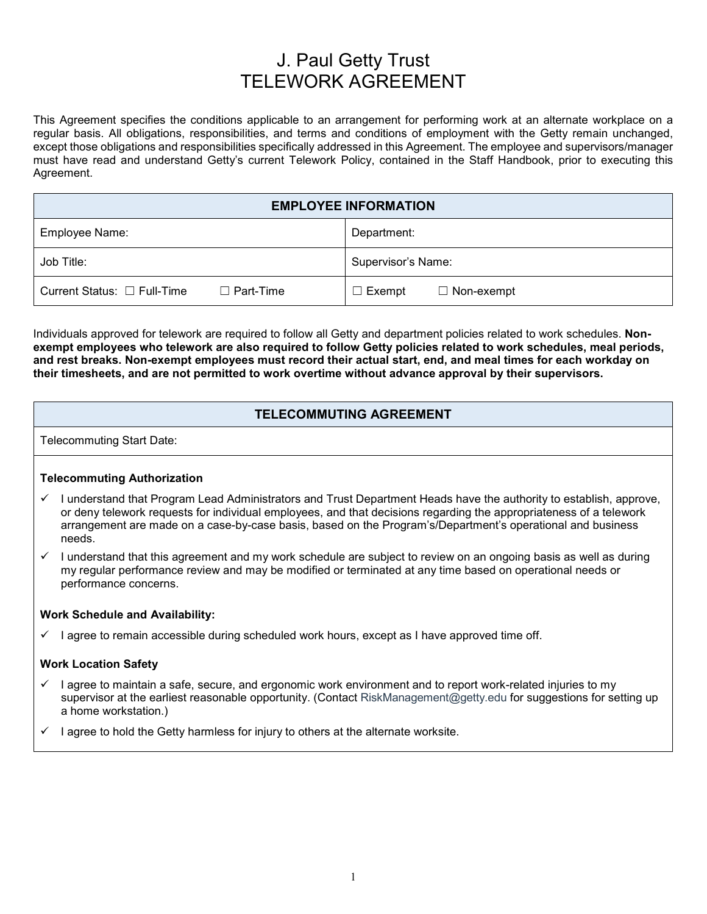# J. Paul Getty Trust TELEWORK AGREEMENT

This Agreement specifies the conditions applicable to an arrangement for performing work at an alternate workplace on a regular basis. All obligations, responsibilities, and terms and conditions of employment with the Getty remain unchanged, except those obligations and responsibilities specifically addressed in this Agreement. The employee and supervisors/manager must have read and understand Getty's current Telework Policy, contained in the Staff Handbook, prior to executing this Agreement.

| <b>EMPLOYEE INFORMATION</b>      |                  |                    |                   |
|----------------------------------|------------------|--------------------|-------------------|
| Employee Name:                   |                  | Department:        |                   |
| Job Title:                       |                  | Supervisor's Name: |                   |
| Current Status: $\Box$ Full-Time | $\Box$ Part-Time | $\Box$ Exempt      | $\Box$ Non-exempt |

Individuals approved for telework are required to follow all Getty and department policies related to work schedules. **Nonexempt employees who telework are also required to follow Getty policies related to work schedules, meal periods, and rest breaks. Non-exempt employees must record their actual start, end, and meal times for each workday on their timesheets, and are not permitted to work overtime without advance approval by their supervisors.** 

### **TELECOMMUTING AGREEMENT**

Telecommuting Start Date:

#### **Telecommuting Authorization**

- I understand that Program Lead Administrators and Trust Department Heads have the authority to establish, approve, or deny telework requests for individual employees, and that decisions regarding the appropriateness of a telework arrangement are made on a case-by-case basis, based on the Program's/Department's operational and business needs.
- $\checkmark$  I understand that this agreement and my work schedule are subject to review on an ongoing basis as well as during my regular performance review and may be modified or terminated at any time based on operational needs or performance concerns.

#### **Work Schedule and Availability:**

 $\checkmark$  I agree to remain accessible during scheduled work hours, except as I have approved time off.

#### **Work Location Safety**

- $\checkmark$  I agree to maintain a safe, secure, and ergonomic work environment and to report work-related injuries to my supervisor at the earliest reasonable opportunity. (Contact RiskManagement@getty.edu for suggestions for setting up a home workstation.)
- $\checkmark$  I agree to hold the Getty harmless for injury to others at the alternate worksite.